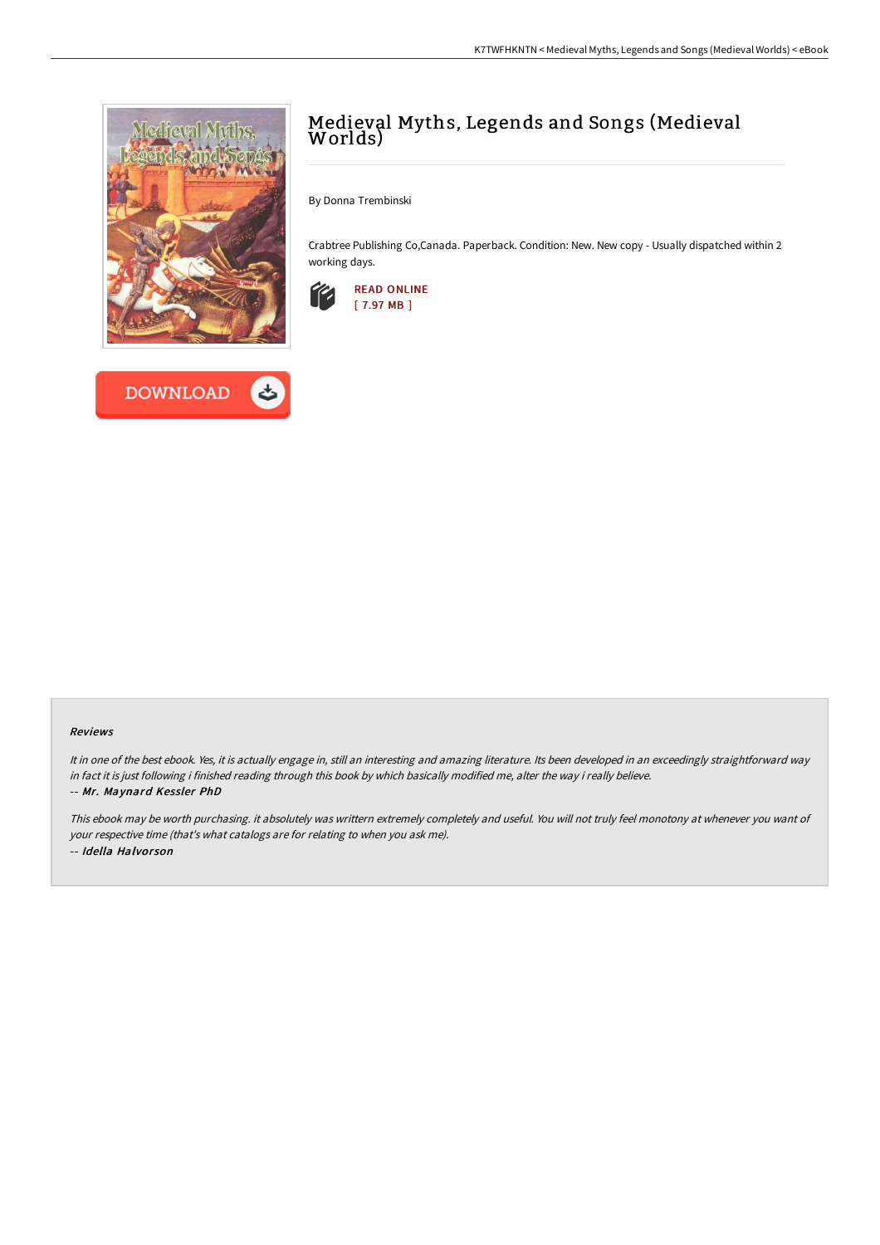



# Medieval Myths, Legends and Songs (Medieval Worlds)

By Donna Trembinski

Crabtree Publishing Co,Canada. Paperback. Condition: New. New copy - Usually dispatched within 2 working days.



#### Reviews

It in one of the best ebook. Yes, it is actually engage in, still an interesting and amazing literature. Its been developed in an exceedingly straightforward way in fact it is just following i finished reading through this book by which basically modified me, alter the way i really believe. -- Mr. Maynard Kessler PhD

This ebook may be worth purchasing. it absolutely was writtern extremely completely and useful. You will not truly feel monotony at whenever you want of your respective time (that's what catalogs are for relating to when you ask me). -- Idella Halvor son